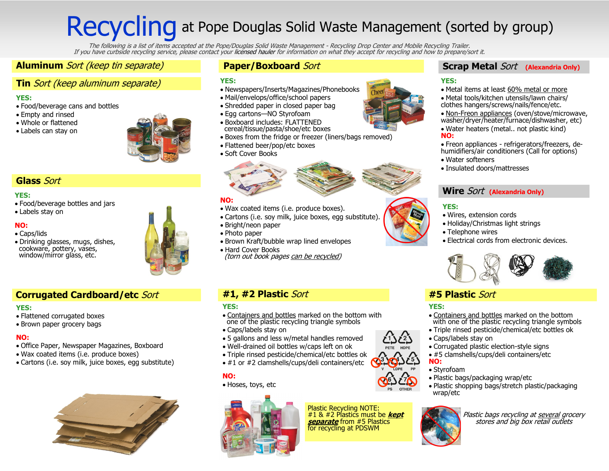## Recycling at Pope Douglas Solid Waste Management (sorted by group)

.The following is a list of items accepted at the Pope/Douglas Solid Waste Management - Recycling Drop Center and Mobile Recycling Trailer.<br>If you have curbside recycling service, please contact your [licensed hauler](http://www.popedouglasrecycle.com/solid_waste.cfm) for in

#### **Aluminum** Sort (keep tin separate)

#### **Tin** Sort (keep aluminum separate)

#### **YES:**

- Food/beverage cans and bottles
- Empty and rinsed
- Whole or flattened
- Labels can stay on



#### **Glass** Sort

#### **YES:**

- Food/beverage bottles and jars
- Labels stay on

#### **NO:**

- Caps/lids
- Drinking glasses, mugs, dishes, cookware, pottery, vases, window/mirror glass, etc.

#### **Corrugated Cardboard/etc** Sort

#### **YES:**

- Flattened corrugated boxes
- Brown paper grocery bags

#### **NO:**

- Office Paper, Newspaper Magazines, Boxboard
- Wax coated items (i.e. produce boxes)
- Cartons (i.e. soy milk, juice boxes, egg substitute)



#### **Paper/Boxboard** Sort

#### **YES:**

- Newspapers/Inserts/Magazines/Phonebooks
- Mail/envelops/office/school papers
- Shredded paper in closed paper bag
- Egg cartons—NO Styrofoam
- Boxboard includes: FLATTENED cereal/tissue/pasta/shoe/etc boxes
- Boxes from the fridge or freezer (liners/bags removed)
- Flattened beer/pop/etc boxes
- Soft Cover Books



#### **NO:**

- Wax coated items (i.e. produce boxes).
- Cartons (i.e. soy milk, juice boxes, egg substitute).
- Bright/neon paper
- Photo paper • Brown Kraft/bubble wrap lined envelopes
- Hard Cover Books (torn out book pages can be recycled)

#### **#1, #2 Plastic** Sort **#5 Plastic** Sort

#### **YES:**

- Containers and bottles marked on the bottom with one of the plastic recycling triangle symbols
- Caps/labels stay on
- 5 gallons and less w/metal handles removed
- Well-drained oil bottles w/caps left on ok
- Triple rinsed pesticide/chemical/etc bottles ok
- #1 or #2 clamshells/cups/deli containers/etc

#### **NO:**

• Hoses, toys, etc



Plastic Recycling NOTE: #1 & #2 Plastics must be **kept separate** from #5 Plastics for recycling at PDSWM

#### **Scrap Metal** Sort **(Alexandria Only)**

#### **YES:**

- Metal items at least 60% metal or more
- Metal tools/kitchen utensils/lawn chairs/ clothes hangers/screws/nails/fence/etc.
- Non-Freon appliances (oven/stove/microwave, washer/dryer/heater/furnace/dishwasher, etc)
- Water heaters (metal.. not plastic kind) **NO:**
- Freon appliances refrigerators/freezers, dehumidifiers/air conditioners (Call for options)
- Water softeners
- Insulated doors/mattresses

#### **Wire** Sort **(Alexandria Only)**

#### **YES:**

- Wires, extension cords
- Holiday/Christmas light strings
- Telephone wires
- Electrical cords from electronic devices.



#### **YES:**

- Containers and bottles marked on the bottom with one of the plastic recycling triangle symbols
- Triple rinsed pesticide/chemical/etc bottles ok
- Caps/labels stay on
- Corrugated plastic election-style signs
- #5 clamshells/cups/deli containers/etc **NO:**

#### • Styrofoam

- Plastic bags/packaging wrap/etc
- Plastic shopping bags/stretch plastic/packaging wrap/etc



Plastic bags recycling at <u>several</u> grocery stores and big box retail outlets